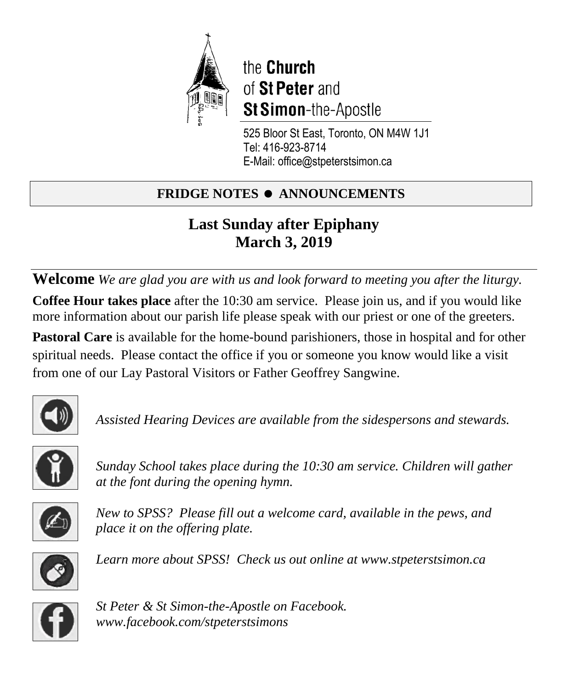

the Church of St Peter and **St Simon-the-Apostle** 

525 Bloor St East, Toronto, ON M4W 1J1 Tel: 416-923-8714 E-Mail: office@stpeterstsimon.ca

# **FRIDGE NOTES • ANNOUNCEMENTS**

# **Last Sunday after Epiphany March 3, 2019**

**Welcome** *We are glad you are with us and look forward to meeting you after the liturgy.* **Coffee Hour takes place** after the 10:30 am service. Please join us, and if you would like more information about our parish life please speak with our priest or one of the greeters.

**Pastoral Care** is available for the home-bound parishioners, those in hospital and for other spiritual needs. Please contact the office if you or someone you know would like a visit from one of our Lay Pastoral Visitors or Father Geoffrey Sangwine.



*Assisted Hearing Devices are available from the sidespersons and stewards.* 



*Sunday School takes place during the 10:30 am service. Children will gather at the font during the opening hymn.* 



*New to SPSS? Please fill out a welcome card, available in the pews, and place it on the offering plate.* 



*Learn more about SPSS! Check us out online at www.stpeterstsimon.ca* 



*St Peter & St Simon-the-Apostle on Facebook. www.facebook.com/stpeterstsimons*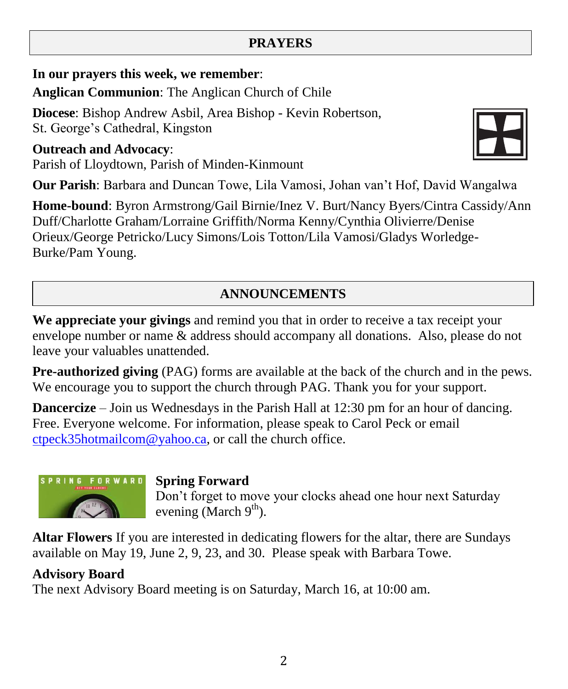### **PRAYERS**

**In our prayers this week, we remember**:

**Anglican Communion**: The Anglican Church of Chile

**Diocese**: Bishop Andrew Asbil, Area Bishop - Kevin Robertson, St. George's Cathedral, Kingston

**Outreach and Advocacy**: Parish of Lloydtown, Parish of Minden-Kinmount



**Our Parish**: Barbara and Duncan Towe, Lila Vamosi, Johan van't Hof, David Wangalwa

**Home-bound**: Byron Armstrong/Gail Birnie/Inez V. Burt/Nancy Byers/Cintra Cassidy/Ann Duff/Charlotte Graham/Lorraine Griffith/Norma Kenny/Cynthia Olivierre/Denise Orieux/George Petricko/Lucy Simons/Lois Totton/Lila Vamosi/Gladys Worledge-Burke/Pam Young.

### **ANNOUNCEMENTS**

**We appreciate your givings** and remind you that in order to receive a tax receipt your envelope number or name & address should accompany all donations. Also, please do not leave your valuables unattended.

**Pre-authorized giving** (PAG) forms are available at the back of the church and in the pews. We encourage you to support the church through PAG. Thank you for your support.

**Dancercize** – Join us Wednesdays in the Parish Hall at 12:30 pm for an hour of dancing. Free. Everyone welcome. For information, please speak to Carol Peck or email [ctpeck35hotmailcom@](mailto:ctpeck35@hotmail.com)yahoo.ca, or call the church office.



### **Spring Forward**

Don't forget to move your clocks ahead one hour next Saturday evening (March  $9<sup>th</sup>$ ).

**Altar Flowers** If you are interested in dedicating flowers for the altar, there are Sundays available on May 19, June 2, 9, 23, and 30. Please speak with Barbara Towe.

### **Advisory Board**

The next Advisory Board meeting is on Saturday, March 16, at 10:00 am.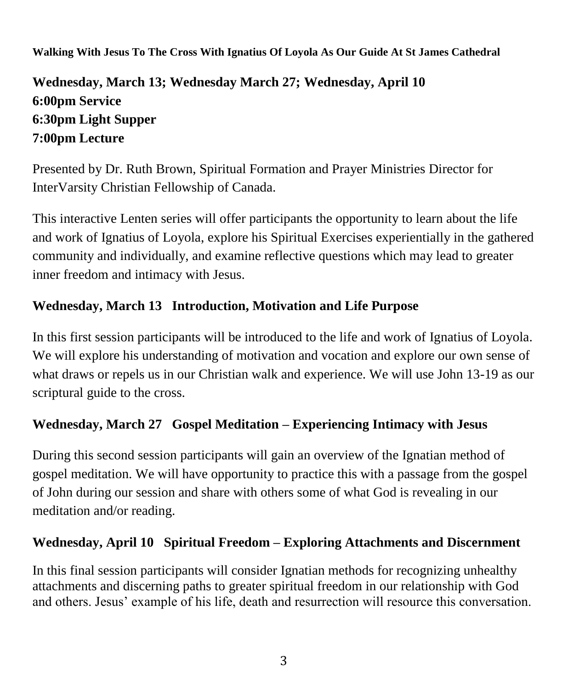**Walking With Jesus To The Cross With Ignatius Of Loyola As Our Guide At St James Cathedral** 

## **Wednesday, March 13; Wednesday March 27; Wednesday, April 10 6:00pm Service 6:30pm Light Supper 7:00pm Lecture**

Presented by Dr. Ruth Brown, Spiritual Formation and Prayer Ministries Director for InterVarsity Christian Fellowship of Canada.

This interactive Lenten series will offer participants the opportunity to learn about the life and work of Ignatius of Loyola, explore his Spiritual Exercises experientially in the gathered community and individually, and examine reflective questions which may lead to greater inner freedom and intimacy with Jesus.

### **Wednesday, March 13 Introduction, Motivation and Life Purpose**

In this first session participants will be introduced to the life and work of Ignatius of Loyola. We will explore his understanding of motivation and vocation and explore our own sense of what draws or repels us in our Christian walk and experience. We will use John 13-19 as our scriptural guide to the cross.

### **Wednesday, March 27 Gospel Meditation – Experiencing Intimacy with Jesus**

During this second session participants will gain an overview of the Ignatian method of gospel meditation. We will have opportunity to practice this with a passage from the gospel of John during our session and share with others some of what God is revealing in our meditation and/or reading.

### **Wednesday, April 10 Spiritual Freedom – Exploring Attachments and Discernment**

In this final session participants will consider Ignatian methods for recognizing unhealthy attachments and discerning paths to greater spiritual freedom in our relationship with God and others. Jesus' example of his life, death and resurrection will resource this conversation.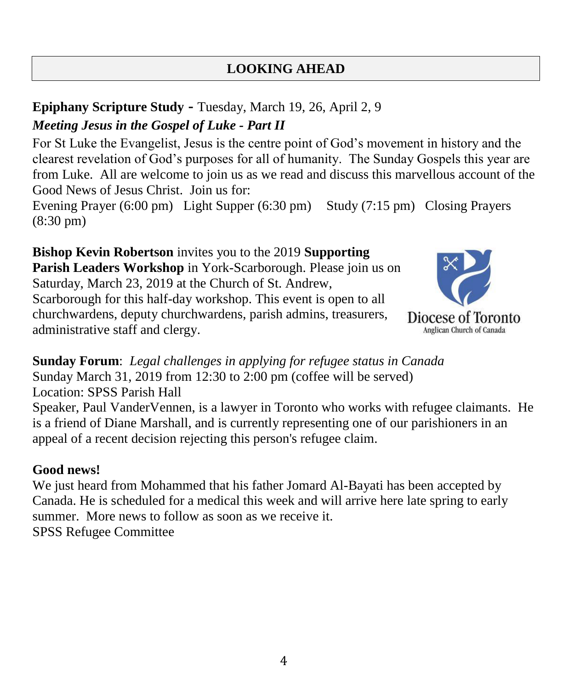### **LOOKING AHEAD**

# **Epiphany Scripture Study -** Tuesday, March 19, 26, April 2, 9

### *Meeting Jesus in the Gospel of Luke - Part II*

For St Luke the Evangelist, Jesus is the centre point of God's movement in history and the clearest revelation of God's purposes for all of humanity. The Sunday Gospels this year are from Luke. All are welcome to join us as we read and discuss this marvellous account of the Good News of Jesus Christ. Join us for:

Evening Prayer (6:00 pm) Light Supper (6:30 pm) Study (7:15 pm) Closing Prayers (8:30 pm)

**Bishop Kevin Robertson** invites you to the 2019 **Supporting Parish Leaders Workshop** in York-Scarborough. Please join us on Saturday, March 23, 2019 at the Church of St. Andrew, Scarborough for this half-day workshop. This event is open to all churchwardens, deputy churchwardens, parish admins, treasurers, administrative staff and clergy.



**Sunday Forum**: *Legal challenges in applying for refugee status in Canada* Sunday March 31, 2019 from 12:30 to 2:00 pm (coffee will be served) Location: SPSS Parish Hall Speaker, Paul VanderVennen, is a lawyer in Toronto who works with refugee claimants. He is a friend of Diane Marshall, and is currently representing one of our parishioners in an appeal of a recent decision rejecting this person's refugee claim.

### **Good news!**

We just heard from Mohammed that his father Jomard Al-Bayati has been accepted by Canada. He is scheduled for a medical this week and will arrive here late spring to early summer. More news to follow as soon as we receive it. SPSS Refugee Committee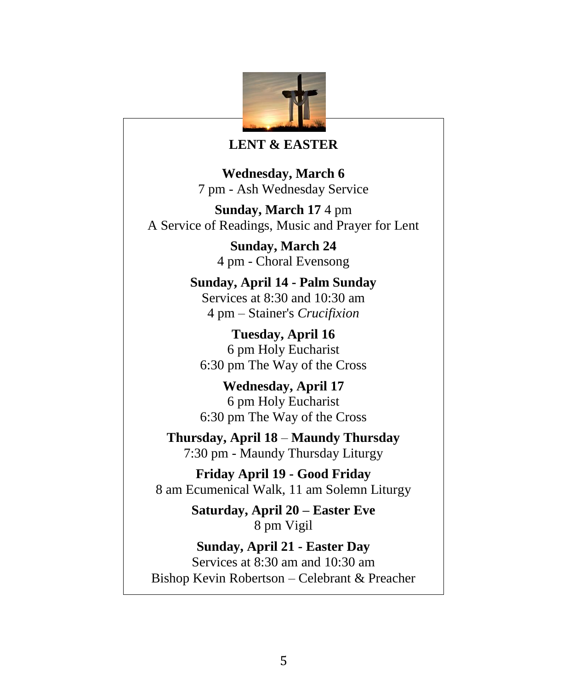

#### **LENT & EASTER**

**Wednesday, March 6** 7 pm - Ash Wednesday Service

**Sunday, March 17** 4 pm A Service of Readings, Music and Prayer for Lent

> **Sunday, March 24** 4 pm - Choral Evensong

**Sunday, April 14 - Palm Sunday** Services at 8:30 and 10:30 am 4 pm – Stainer's *Crucifixion*

**Tuesday, April 16** 6 pm Holy Eucharist 6:30 pm The Way of the Cross

**Wednesday, April 17** 6 pm Holy Eucharist 6:30 pm The Way of the Cross

**Thursday, April 18** – **Maundy Thursday** 7:30 pm - Maundy Thursday Liturgy

**Friday April 19 - Good Friday** 8 am Ecumenical Walk, 11 am Solemn Liturgy

> **Saturday, April 20 – Easter Eve** 8 pm Vigil

**Sunday, April 21 - Easter Day** Services at 8:30 am and 10:30 am Bishop Kevin Robertson – Celebrant & Preacher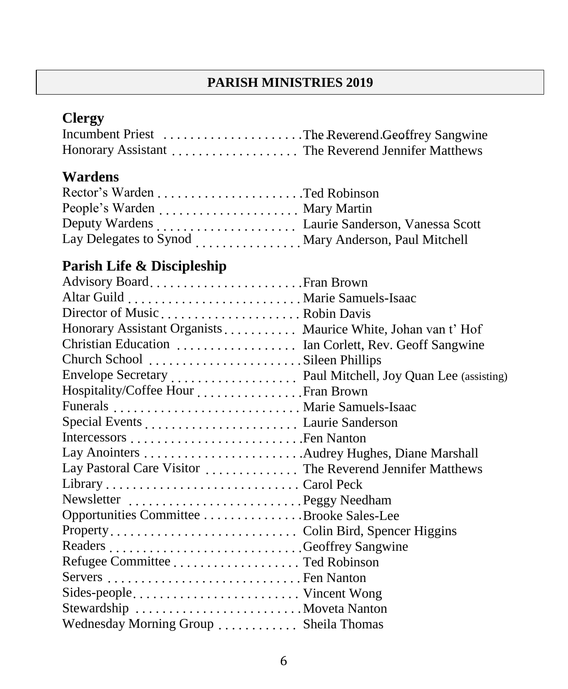### **PARISH MINISTRIES 2019**

# **Clergy**

| Incumbent Priest The Reverend Geoffrey Sangwine   |  |
|---------------------------------------------------|--|
| Honorary Assistant The Reverend Jennifer Matthews |  |

### **Wardens**

| Lay Delegates to Synod  Mary Anderson, Paul Mitchell |  |
|------------------------------------------------------|--|

# **Parish Life & Discipleship**

| Honorary Assistant Organists Maurice White, Johan van t' Hof |  |
|--------------------------------------------------------------|--|
| Christian Education  Ian Corlett, Rev. Geoff Sangwine        |  |
| Church School Sileen Phillips                                |  |
|                                                              |  |
| Hospitality/Coffee Hour Fran Brown                           |  |
|                                                              |  |
|                                                              |  |
|                                                              |  |
|                                                              |  |
| Lay Pastoral Care Visitor  The Reverend Jennifer Matthews    |  |
|                                                              |  |
| Newsletter Peggy Needham                                     |  |
| Opportunities Committee Brooke Sales-Lee                     |  |
|                                                              |  |
|                                                              |  |
|                                                              |  |
|                                                              |  |
| Sides-people Vincent Wong                                    |  |
|                                                              |  |
| Wednesday Morning Group  Sheila Thomas                       |  |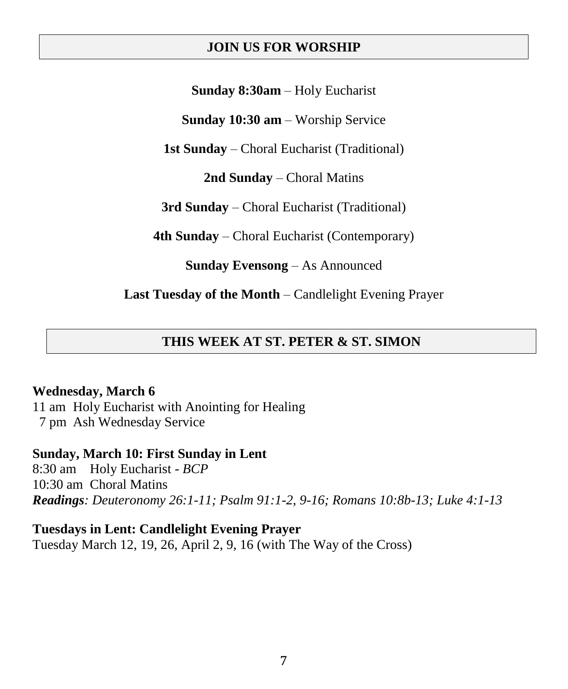#### **JOIN US FOR WORSHIP**

**Sunday 8:30am** – Holy Eucharist

**Sunday 10:30 am** – Worship Service

**1st Sunday** – Choral Eucharist (Traditional)

**2nd Sunday** – Choral Matins

**3rd Sunday** – Choral Eucharist (Traditional)

**4th Sunday** – Choral Eucharist (Contemporary)

**Sunday Evensong** – As Announced

**Last Tuesday of the Month** – Candlelight Evening Prayer

### **THIS WEEK AT ST. PETER & ST. SIMON**

#### **Wednesday, March 6**

11 am Holy Eucharist with Anointing for Healing 7 pm Ash Wednesday Service

#### **Sunday, March 10: First Sunday in Lent**

8:30 am Holy Eucharist - *BCP* 10:30 am Choral Matins *Readings: Deuteronomy 26:1-11; Psalm 91:1-2, 9-16; Romans 10:8b-13; Luke 4:1-13* 

#### **Tuesdays in Lent: Candlelight Evening Prayer**

Tuesday March 12, 19, 26, April 2, 9, 16 (with The Way of the Cross)